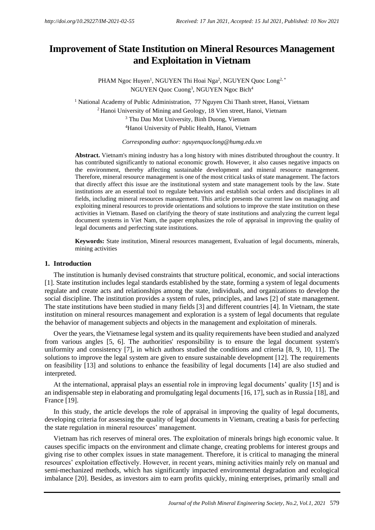# **and Exploitation in Vietnam Improvement of State Institution on Mineral Resources Management**

NGUYEN Quoc Cuong<sup>3</sup> , NGUYEN Ngoc Bich<sup>4</sup> PHAM Ngoc Huyen<sup>1</sup>, NGUYEN Thi Hoai Nga<sup>2</sup>, NGUYEN Quoc Long<sup>2, \*</sup>

<sup>4</sup>Hanoi University of Public Health, Hanoi, Vietnam <sup>3</sup> Thu Dau Mot University, Binh Duong, Vietnam <sup>2</sup> Hanoi University of Mining and Geology, 18 Vien street, Hanoi, Vietnam <sup>1</sup> National Academy of Public Administration, 77 Nguyen Chi Thanh street, Hanoi, Vietnam

*Corresponding author: nguyenquoclong@humg.edu.vn*

legal documents and perfecting state institutions. document systems in Viet Nam, the paper emphasizes the role of appraisal in improving the quality of activities in Vietnam. Based on clarifying the theory of state institutions and analyzing the current legal exploiting mineral resources to provide orientations and solutions to improve the state institution on these fields, including mineral resources management. This article presents the current law on managing and institutions are an essential tool to regulate behaviors and establish social orders and disciplines in all that directly affect this issue are the institutional system and state management tools by the law. State Therefore, mineral resource management is one of the most critical tasks of state management. The factors the environment, thereby affecting sustainable development and mineral resource management. has contributed significantly to national economic growth. However, it also causes negative impacts on **Abstract.** Vietnam's mining industry has a long history with mines distributed throughout the country. It

mining activities **Keywords:** State institution, Mineral resources management, Evaluation of legal documents, minerals,

## **1. Introduction**

the behavior of management subjects and objects in the management and exploitation of minerals. institution on mineral resources management and exploration is a system of legal documents that regulate The state institutions have been studied in many fields [3] and different countries [4]. In Vietnam, the state social discipline. The institution provides a system of rules, principles, and laws [2] of state management. regulate and create acts and relationships among the state, individuals, and organizations to develop the [1]. State institution includes legal standards established by the state, forming a system of legal documents The institution is humanly devised constraints that structure political, economic, and social interactions

interpreted. on feasibility [13] and solutions to enhance the feasibility of legal documents [14] are also studied and solutions to improve the legal system are given to ensure sustainable development [12]. The requirements uniformity and consistency [7], in which authors studied the conditions and criteria [8, 9, 10, 11]. The from various angles [5, 6]. The authorities' responsibility is to ensure the legal document system's Over the years, the Vietnamese legal system and its quality requirements have been studied and analyzed

France [19]. an indispensable step in elaborating and promulgating legal documents [16, 17], such as in Russia [18], and At the international, appraisal plays an essential role in improving legal documents' quality [15] and is

the state regulation in mineral resources' management. developing criteria for assessing the quality of legal documents in Vietnam, creating a basis for perfecting In this study, the article develops the role of appraisal in improving the quality of legal documents,

imbalance [20]. Besides, as investors aim to earn profits quickly, mining enterprises, primarily small and semi-mechanized methods, which has significantly impacted environmental degradation and ecological resources' exploitation effectively. However, in recent years, mining activities mainly rely on manual and giving rise to other complex issues in state management. Therefore, it is critical to managing the mineral causes specific impacts on the environment and climate change, creating problems for interest groups and Vietnam has rich reserves of mineral ores. The exploitation of minerals brings high economic value. It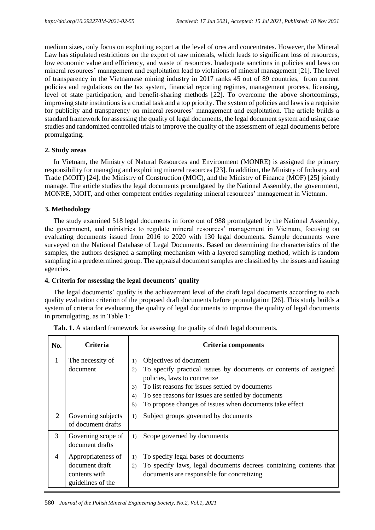medium sizes, only focus on exploiting export at the level of ores and concentrates. However, the Mineral Law has stipulated restrictions on the export of raw minerals, which leads to significant loss of resources, low economic value and efficiency, and waste of resources. Inadequate sanctions in policies and laws on mineral resources' management and exploitation lead to violations of mineral management [21]. The level of transparency in the Vietnamese mining industry in 2017 ranks 45 out of 89 countries, from current policies and regulations on the tax system, financial reporting regimes, management process, licensing, level of state participation, and benefit-sharing methods [22]. To overcome the above shortcomings, improving state institutions is a crucial task and a top priority. The system of policies and laws is a requisite for publicity and transparency on mineral resources' management and exploitation. The article builds a standard framework for assessing the quality of legal documents, the legal document system and using case studies and randomized controlled trials to improve the quality of the assessment of legal documents before promulgating.

## **2. Study areas**

In Vietnam, the Ministry of Natural Resources and Environment (MONRE) is assigned the primary responsibility for managing and exploiting mineral resources [23]. In addition, the Ministry of Industry and Trade (MOIT) [24], the Ministry of Construction (MOC), and the Ministry of Finance (MOF) [25] jointly manage. The article studies the legal documents promulgated by the National Assembly, the government, MONRE, MOIT, and other competent entities regulating mineral resources' management in Vietnam.

## **3. Methodology**

The study examined 518 legal documents in force out of 988 promulgated by the National Assembly, the government, and ministries to regulate mineral resources' management in Vietnam, focusing on evaluating documents issued from 2016 to 2020 with 130 legal documents. Sample documents were surveyed on the National Database of Legal Documents. Based on determining the characteristics of the samples, the authors designed a sampling mechanism with a layered sampling method, which is random sampling in a predetermined group. The appraisal document samples are classified by the issues and issuing agencies.

## **4. Criteria for assessing the legal documents' quality**

The legal documents' quality is the achievement level of the draft legal documents according to each quality evaluation criterion of the proposed draft documents before promulgation [26]. This study builds a system of criteria for evaluating the quality of legal documents to improve the quality of legal documents in promulgating, as in Table 1:

| No. | Criteria                                                                   | Criteria components                                                                                                                                                                                                                                                                                                          |  |  |
|-----|----------------------------------------------------------------------------|------------------------------------------------------------------------------------------------------------------------------------------------------------------------------------------------------------------------------------------------------------------------------------------------------------------------------|--|--|
| 1   | The necessity of<br>document                                               | Objectives of document<br>1)<br>To specify practical issues by documents or contents of assigned<br>2)<br>policies, laws to concretize<br>To list reasons for issues settled by documents<br>3)<br>To see reasons for issues are settled by documents<br>4)<br>To propose changes of issues when documents take effect<br>5) |  |  |
| 2   | Governing subjects<br>of document drafts                                   | Subject groups governed by documents<br>1)                                                                                                                                                                                                                                                                                   |  |  |
| 3   | Governing scope of<br>document drafts                                      | Scope governed by documents<br>1)                                                                                                                                                                                                                                                                                            |  |  |
| 4   | Appropriateness of<br>document draft<br>contents with<br>guidelines of the | To specify legal bases of documents<br>1)<br>To specify laws, legal documents decrees containing contents that<br>2)<br>documents are responsible for concretizing                                                                                                                                                           |  |  |

|  |  |  |  |  |  |  |  |  |  | Tab. 1. A standard framework for assessing the quality of draft legal documents. |
|--|--|--|--|--|--|--|--|--|--|----------------------------------------------------------------------------------|
|--|--|--|--|--|--|--|--|--|--|----------------------------------------------------------------------------------|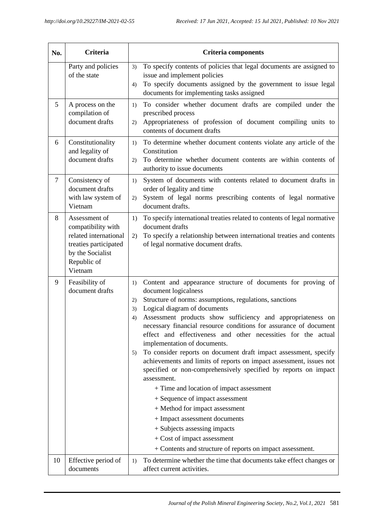| No.    | <b>Criteria</b>                                                                                                                     | <b>Criteria components</b>                                                                                                                                                                                                                                                                                                                                                                                                                                                                                                                                                                                                                                                                                                                                                                                                                                                                                                                                    |  |  |
|--------|-------------------------------------------------------------------------------------------------------------------------------------|---------------------------------------------------------------------------------------------------------------------------------------------------------------------------------------------------------------------------------------------------------------------------------------------------------------------------------------------------------------------------------------------------------------------------------------------------------------------------------------------------------------------------------------------------------------------------------------------------------------------------------------------------------------------------------------------------------------------------------------------------------------------------------------------------------------------------------------------------------------------------------------------------------------------------------------------------------------|--|--|
|        | Party and policies<br>of the state                                                                                                  | To specify contents of policies that legal documents are assigned to<br>3)<br>issue and implement policies<br>To specify documents assigned by the government to issue legal<br>4)<br>documents for implementing tasks assigned                                                                                                                                                                                                                                                                                                                                                                                                                                                                                                                                                                                                                                                                                                                               |  |  |
| 5      | A process on the<br>compilation of<br>document drafts                                                                               | To consider whether document drafts are compiled under the<br>1)<br>prescribed process<br>Appropriateness of profession of document compiling units to<br>2)<br>contents of document drafts                                                                                                                                                                                                                                                                                                                                                                                                                                                                                                                                                                                                                                                                                                                                                                   |  |  |
| 6      | Constitutionality<br>and legality of<br>document drafts                                                                             | To determine whether document contents violate any article of the<br>1)<br>Constitution<br>To determine whether document contents are within contents of<br>2)<br>authority to issue documents                                                                                                                                                                                                                                                                                                                                                                                                                                                                                                                                                                                                                                                                                                                                                                |  |  |
| $\tau$ | Consistency of<br>document drafts<br>with law system of<br>Vietnam                                                                  | System of documents with contents related to document drafts in<br>1)<br>order of legality and time<br>System of legal norms prescribing contents of legal normative<br>2)<br>document drafts.                                                                                                                                                                                                                                                                                                                                                                                                                                                                                                                                                                                                                                                                                                                                                                |  |  |
| 8      | Assessment of<br>compatibility with<br>related international<br>treaties participated<br>by the Socialist<br>Republic of<br>Vietnam | To specify international treaties related to contents of legal normative<br>1)<br>document drafts<br>To specify a relationship between international treaties and contents<br>2)<br>of legal normative document drafts.                                                                                                                                                                                                                                                                                                                                                                                                                                                                                                                                                                                                                                                                                                                                       |  |  |
| 9      | Feasibility of<br>document drafts                                                                                                   | Content and appearance structure of documents for proving of<br>1)<br>document logicalness<br>Structure of norms: assumptions, regulations, sanctions<br>2)<br>Logical diagram of documents<br>3)<br>Assessment products show sufficiency and appropriateness on<br>4)<br>necessary financial resource conditions for assurance of document<br>effect and effectiveness and other necessities for the actual<br>implementation of documents.<br>To consider reports on document draft impact assessment, specify<br>5)<br>achievements and limits of reports on impact assessment, issues not<br>specified or non-comprehensively specified by reports on impact<br>assessment.<br>+ Time and location of impact assessment<br>+ Sequence of impact assessment<br>+ Method for impact assessment<br>+ Impact assessment documents<br>+ Subjects assessing impacts<br>+ Cost of impact assessment<br>+ Contents and structure of reports on impact assessment. |  |  |
| 10     | Effective period of<br>documents                                                                                                    | To determine whether the time that documents take effect changes or<br>1)<br>affect current activities.                                                                                                                                                                                                                                                                                                                                                                                                                                                                                                                                                                                                                                                                                                                                                                                                                                                       |  |  |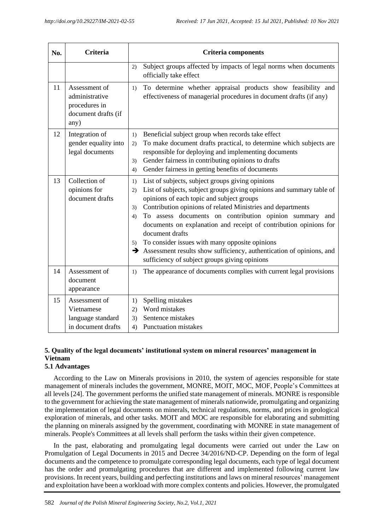| No. | Criteria                                                                        | <b>Criteria components</b>                                                                                                                                                                                                                                                                                                                                                                                                                                                                                                                                                                                |  |  |  |  |
|-----|---------------------------------------------------------------------------------|-----------------------------------------------------------------------------------------------------------------------------------------------------------------------------------------------------------------------------------------------------------------------------------------------------------------------------------------------------------------------------------------------------------------------------------------------------------------------------------------------------------------------------------------------------------------------------------------------------------|--|--|--|--|
|     |                                                                                 | Subject groups affected by impacts of legal norms when documents<br>2)<br>officially take effect                                                                                                                                                                                                                                                                                                                                                                                                                                                                                                          |  |  |  |  |
| 11  | Assessment of<br>administrative<br>procedures in<br>document drafts (if<br>any) | To determine whether appraisal products show feasibility and<br>1)<br>effectiveness of managerial procedures in document drafts (if any)                                                                                                                                                                                                                                                                                                                                                                                                                                                                  |  |  |  |  |
| 12  | Integration of<br>gender equality into<br>legal documents                       | Beneficial subject group when records take effect<br>1)<br>To make document drafts practical, to determine which subjects are<br>2)<br>responsible for deploying and implementing documents<br>Gender fairness in contributing opinions to drafts<br>3)<br>Gender fairness in getting benefits of documents<br>4)                                                                                                                                                                                                                                                                                         |  |  |  |  |
| 13  | Collection of<br>opinions for<br>document drafts                                | List of subjects, subject groups giving opinions<br>1)<br>List of subjects, subject groups giving opinions and summary table of<br>2)<br>opinions of each topic and subject groups<br>Contribution opinions of related Ministries and departments<br>3)<br>To assess documents on contribution opinion summary<br>4)<br>and<br>documents on explanation and receipt of contribution opinions for<br>document drafts<br>To consider issues with many opposite opinions<br>5)<br>Assessment results show sufficiency, authentication of opinions, and<br>→<br>sufficiency of subject groups giving opinions |  |  |  |  |
| 14  | Assessment of<br>document<br>appearance                                         | The appearance of documents complies with current legal provisions<br>1)                                                                                                                                                                                                                                                                                                                                                                                                                                                                                                                                  |  |  |  |  |
| 15  | Assessment of<br>Vietnamese<br>language standard<br>in document drafts          | Spelling mistakes<br>1)<br>Word mistakes<br>2)<br>Sentence mistakes<br>3)<br><b>Punctuation mistakes</b><br>4)                                                                                                                                                                                                                                                                                                                                                                                                                                                                                            |  |  |  |  |

## **5. Quality of the legal documents' institutional system on mineral resources' management in Vietnam**

## **5.1 Advantages**

According to the Law on Minerals provisions in 2010, the system of agencies responsible for state management of minerals includes the government, MONRE, MOIT, MOC, MOF, People's Committees at all levels [24]. The government performs the unified state management of minerals. MONRE is responsible to the government for achieving the state management of minerals nationwide, promulgating and organizing the implementation of legal documents on minerals, technical regulations, norms, and prices in geological exploration of minerals, and other tasks. MOIT and MOC are responsible for elaborating and submitting the planning on minerals assigned by the government, coordinating with MONRE in state management of minerals. People's Committees at all levels shall perform the tasks within their given competence.

In the past, elaborating and promulgating legal documents were carried out under the Law on Promulgation of Legal Documents in 2015 and Decree 34/2016/ND-CP. Depending on the form of legal documents and the competence to promulgate corresponding legal documents, each type of legal document has the order and promulgating procedures that are different and implemented following current law provisions. In recent years, building and perfecting institutions and laws on mineral resources' management and exploitation have been a workload with more complex contents and policies. However, the promulgated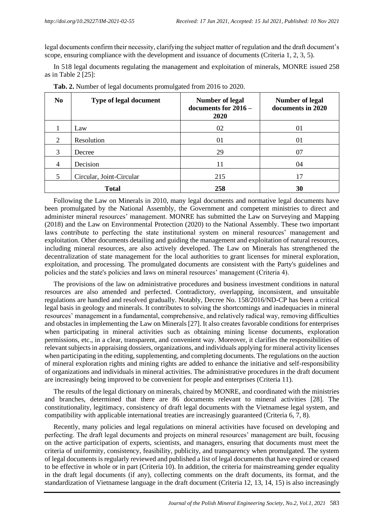legal documents confirm their necessity, clarifying the subject matter of regulation and the draft document's scope, ensuring compliance with the development and issuance of documents (Criteria 1, 2, 3, 5).

In 518 legal documents regulating the management and exploitation of minerals, MONRE issued 258 as in Table 2 [25]:

| N <sub>0</sub> | <b>Type of legal document</b> | <b>Number of legal</b><br>documents for $2016 -$<br>2020 | <b>Number of legal</b><br>documents in 2020 |
|----------------|-------------------------------|----------------------------------------------------------|---------------------------------------------|
|                | Law                           | 02                                                       | 01                                          |
| $\overline{2}$ | Resolution                    | 01                                                       | 01                                          |
| 3              | Decree                        | 29                                                       | 07                                          |
| $\overline{4}$ | Decision                      | 11                                                       | 04                                          |
| 5              | Circular, Joint-Circular      | 215                                                      | 17                                          |
|                | <b>Total</b>                  | 258                                                      | 30                                          |

**Tab. 2.** Number of legal documents promulgated from 2016 to 2020.

Following the Law on Minerals in 2010, many legal documents and normative legal documents have been promulgated by the National Assembly, the Government and competent ministries to direct and administer mineral resources' management. MONRE has submitted the Law on Surveying and Mapping (2018) and the Law on Environmental Protection (2020) to the National Assembly. These two important laws contribute to perfecting the state institutional system on mineral resources' management and exploitation. Other documents detailing and guiding the management and exploitation of natural resources, including mineral resources, are also actively developed. The Law on Minerals has strengthened the decentralization of state management for the local authorities to grant licenses for mineral exploration, exploitation, and processing. The promulgated documents are consistent with the Party's guidelines and policies and the state's policies and laws on mineral resources' management (Criteria 4).

The provisions of the law on administrative procedures and business investment conditions in natural resources are also amended and perfected. Contradictory, overlapping, inconsistent, and unsuitable regulations are handled and resolved gradually. Notably, Decree No. 158/2016/ND-CP has been a critical legal basis in geology and minerals. It contributes to solving the shortcomings and inadequacies in mineral resources' management in a fundamental, comprehensive, and relatively radical way, removing difficulties and obstacles in implementing the Law on Minerals [27]. It also creates favorable conditions for enterprises when participating in mineral activities such as obtaining mining license documents, exploration permissions, etc., in a clear, transparent, and convenient way. Moreover, it clarifies the responsibilities of relevant subjects in appraising dossiers, organizations, and individuals applying for mineral activity licenses when participating in the editing, supplementing, and completing documents. The regulations on the auction of mineral exploration rights and mining rights are added to enhance the initiative and self-responsibility of organizations and individuals in mineral activities. The administrative procedures in the draft document are increasingly being improved to be convenient for people and enterprises (Criteria 11).

The results of the legal dictionary on minerals, chaired by MONRE, and coordinated with the ministries and branches, determined that there are 86 documents relevant to mineral activities [28]. The constitutionality, legitimacy, consistency of draft legal documents with the Vietnamese legal system, and compatibility with applicable international treaties are increasingly guaranteed (Criteria 6, 7, 8).

Recently, many policies and legal regulations on mineral activities have focused on developing and perfecting. The draft legal documents and projects on mineral resources' management are built, focusing on the active participation of experts, scientists, and managers, ensuring that documents must meet the criteria of uniformity, consistency, feasibility, publicity, and transparency when promulgated. The system of legal documents is regularly reviewed and published a list of legal documents that have expired or ceased to be effective in whole or in part (Criteria 10). In addition, the criteria for mainstreaming gender equality in the draft legal documents (if any), collecting comments on the draft documents, its format, and the standardization of Vietnamese language in the draft document (Criteria 12, 13, 14, 15) is also increasingly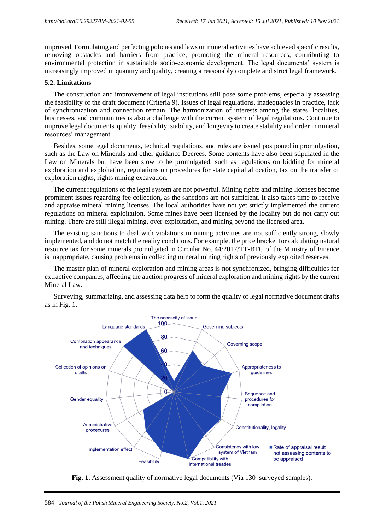improved. Formulating and perfecting policies and laws on mineral activities have achieved specific results, removing obstacles and barriers from practice, promoting the mineral resources, contributing to environmental protection in sustainable socio-economic development. The legal documents' system is increasingly improved in quantity and quality, creating a reasonably complete and strict legal framework.

### **5.2. Limitations**

The construction and improvement of legal institutions still pose some problems, especially assessing the feasibility of the draft document (Criteria 9). Issues of legal regulations, inadequacies in practice, lack of synchronization and connection remain. The harmonization of interests among the states, localities, businesses, and communities is also a challenge with the current system of legal regulations. Continue to improve legal documents' quality, feasibility, stability, and longevity to create stability and order in mineral resources' management.

Besides, some legal documents, technical regulations, and rules are issued postponed in promulgation, such as the Law on Minerals and other guidance Decrees. Some contents have also been stipulated in the Law on Minerals but have been slow to be promulgated, such as regulations on bidding for mineral exploration and exploitation, regulations on procedures for state capital allocation, tax on the transfer of exploration rights, rights mining excavation.

The current regulations of the legal system are not powerful. Mining rights and mining licenses become prominent issues regarding fee collection, as the sanctions are not sufficient. It also takes time to receive and appraise mineral mining licenses. The local authorities have not yet strictly implemented the current regulations on mineral exploitation. Some mines have been licensed by the locality but do not carry out mining. There are still illegal mining, over-exploitation, and mining beyond the licensed area.

The existing sanctions to deal with violations in mining activities are not sufficiently strong, slowly implemented, and do not match the reality conditions. For example, the price bracket for calculating natural resource tax for some minerals promulgated in Circular No. 44/2017/TT-BTC of the Ministry of Finance is inappropriate, causing problems in collecting mineral mining rights of previously exploited reserves.

The master plan of mineral exploration and mining areas is not synchronized, bringing difficulties for extractive companies, affecting the auction progress of mineral exploration and mining rights by the current Mineral Law.



Surveying, summarizing, and assessing data help to form the quality of legal normative document drafts as in Fig. 1.

**Fig. 1.** Assessment quality of normative legal documents (Via 130 surveyed samples).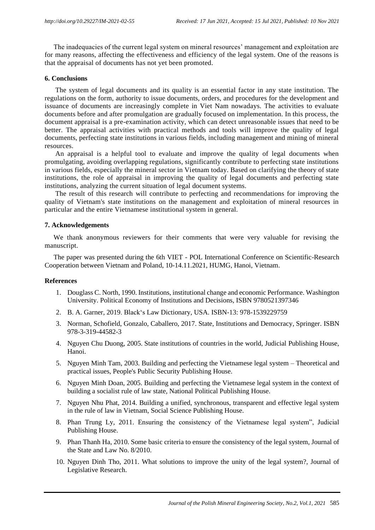The inadequacies of the current legal system on mineral resources' management and exploitation are for many reasons, affecting the effectiveness and efficiency of the legal system. One of the reasons is that the appraisal of documents has not yet been promoted.

### **6. Conclusions**

The system of legal documents and its quality is an essential factor in any state institution. The regulations on the form, authority to issue documents, orders, and procedures for the development and issuance of documents are increasingly complete in Viet Nam nowadays. The activities to evaluate documents before and after promulgation are gradually focused on implementation. In this process, the document appraisal is a pre-examination activity, which can detect unreasonable issues that need to be better. The appraisal activities with practical methods and tools will improve the quality of legal documents, perfecting state institutions in various fields, including management and mining of mineral resources.

An appraisal is a helpful tool to evaluate and improve the quality of legal documents when promulgating, avoiding overlapping regulations, significantly contribute to perfecting state institutions in various fields, especially the mineral sector in Vietnam today. Based on clarifying the theory of state institutions, the role of appraisal in improving the quality of legal documents and perfecting state institutions, analyzing the current situation of legal document systems.

The result of this research will contribute to perfecting and recommendations for improving the quality of Vietnam's state institutions on the management and exploitation of mineral resources in particular and the entire Vietnamese institutional system in general.

## **7. Acknowledgements**

We thank anonymous reviewers for their comments that were very valuable for revising the manuscript.

The paper was presented during the 6th VIET - POL International Conference on Scientific-Research Cooperation between Vietnam and Poland, 10-14.11.2021, HUMG, Hanoi, Vietnam.

### **References**

- 1. Douglass C. North, 1990. Institutions, institutional change and economic Performance. Washington University. Political Economy of Institutions and Decisions, ISBN 9780521397346
- 2. B. A. Garner, 2019. Black's Law Dictionary, USA. ISBN-13: 978-1539229759
- 3. Norman, Schofield, Gonzalo, Caballero, 2017. State, Institutions and Democracy, Springer. ISBN 978-3-319-44582-3
- 4. Nguyen Chu Duong, 2005. State institutions of countries in the world, Judicial Publishing House, Hanoi.
- 5. Nguyen Minh Tam, 2003. Building and perfecting the Vietnamese legal system Theoretical and practical issues, People's Public Security Publishing House.
- 6. Nguyen Minh Doan, 2005. Building and perfecting the Vietnamese legal system in the context of building a socialist rule of law state, National Political Publishing House.
- 7. Nguyen Nhu Phat, 2014. Building a unified, synchronous, transparent and effective legal system in the rule of law in Vietnam, Social Science Publishing House.
- 8. Phan Trung Ly, 2011. Ensuring the consistency of the Vietnamese legal system", Judicial Publishing House.
- 9. Phan Thanh Ha, 2010. Some basic criteria to ensure the consistency of the legal system, Journal of the State and Law No. 8/2010.
- 10. Nguyen Dinh Tho, 2011. What solutions to improve the unity of the legal system?, Journal of Legislative Research.